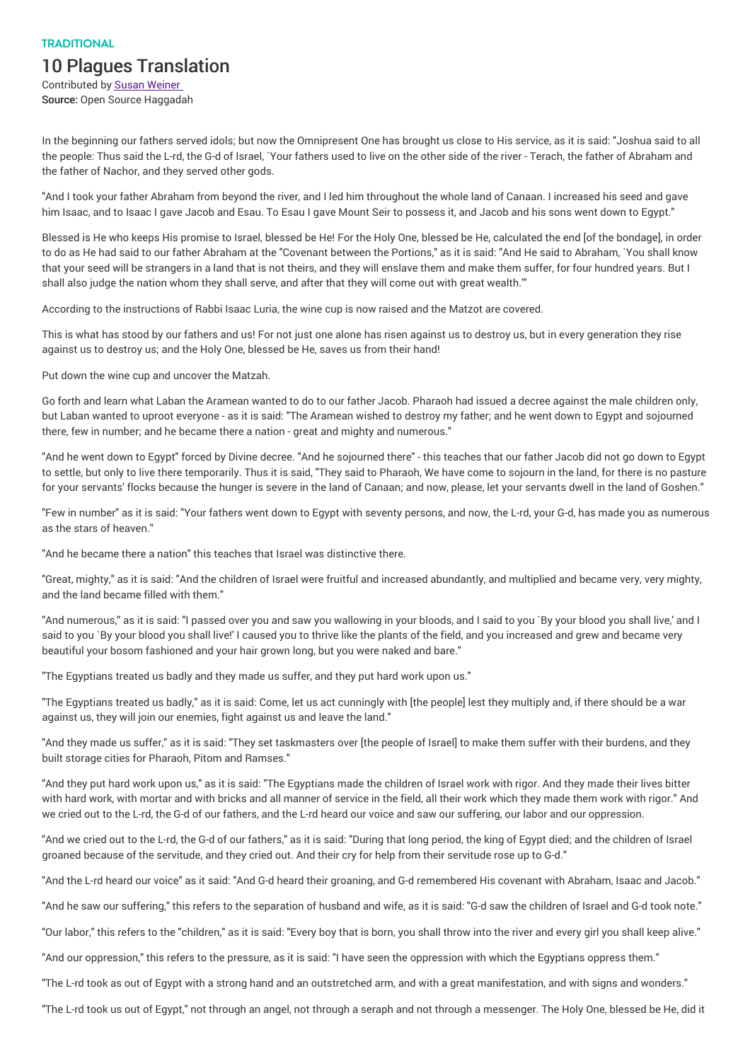## **TRADITIONAL**

## 10 Plagues Translation

Contributed by Susan Weiner Source: Open Source Haggadah

In the beginning our fathers served idols; but now the Omnipresent One has brought us close to His service, as it is said: "Joshua said to all the people: Thus said the L-rd, the G-d of Israel, `Your fathers used to live on the other side of the river - Terach, the father of Abraham and the father of Nachor, and they served other gods.

"And I took your father Abraham from beyond the river, and I led him throughout the whole land of Canaan. I increased his seed and gave him Isaac, and to Isaac I gave Jacob and Esau. To Esau I gave Mount Seir to possess it, and Jacob and his sons went down to Egypt."

Blessed is He who keeps His promise to Israel, blessed be He! For the Holy One, blessed be He, calculated the end [of the bondage], in order to do as He had said to our father Abraham at the "Covenant between the Portions," as it is said: "And He said to Abraham, `You shall know that your seed will be strangers in a land that is not theirs, and they will enslave them and make them suffer, for four hundred years. But I shall also judge the nation whom they shall serve, and after that they will come out with great wealth.'"

According to the instructions of Rabbi Isaac Luria, the wine cup is now raised and the Matzot are covered.

This is what has stood by our fathers and us! For not just one alone has risen against us to destroy us, but in every generation they rise against us to destroy us; and the Holy One, blessed be He, saves us from their hand!

Put down the wine cup and uncover the Matzah.

Go forth and learn what Laban the Aramean wanted to do to our father Jacob. Pharaoh had issued a decree against the male children only, but Laban wanted to uproot everyone - as it is said: "The Aramean wished to destroy my father; and he went down to Egypt and sojourned there, few in number; and he became there a nation - great and mighty and numerous."

"And he went down to Egypt" forced by Divine decree. "And he sojourned there" - this teaches that our father Jacob did not go down to Egypt to settle, but only to live there temporarily. Thus it is said, "They said to Pharaoh, We have come to sojourn in the land, for there is no pasture for your servants' flocks because the hunger is severe in the land of Canaan; and now, please, let your servants dwell in the land of Goshen."

"Few in number" as it is said: "Your fathers went down to Egypt with seventy persons, and now, the L-rd, your G-d, has made you as numerous as the stars of heaven."

"And he became there a nation" this teaches that Israel was distinctive there.

"Great, mighty," as it is said: "And the children of Israel were fruitful and increased abundantly, and multiplied and became very, very mighty, and the land became filled with them."

"And numerous," as it is said: "I passed over you and saw you wallowing in your bloods, and I said to you `By your blood you shall live,' and I said to you `By your blood you shall live!' I caused you to thrive like the plants of the field, and you increased and grew and became very beautiful your bosom fashioned and your hair grown long, but you were naked and bare."

"The Egyptians treated us badly and they made us suffer, and they put hard work upon us."

"The Egyptians treated us badly," as it is said: Come, let us act cunningly with [the people] lest they multiply and, if there should be a war against us, they will join our enemies, fight against us and leave the land."

"And they made us suffer," as it is said: "They set taskmasters over [the people of Israel] to make them suffer with their burdens, and they built storage cities for Pharaoh, Pitom and Ramses."

"And they put hard work upon us," as it is said: "The Egyptians made the children of Israel work with rigor. And they made their lives bitter with hard work, with mortar and with bricks and all manner of service in the field, all their work which they made them work with rigor." And we cried out to the L-rd, the G-d of our fathers, and the L-rd heard our voice and saw our suffering, our labor and our oppression.

"And we cried out to the L-rd, the G-d of our fathers," as it is said: "During that long period, the king of Egypt died; and the children of Israel groaned because of the servitude, and they cried out. And their cry for help from their servitude rose up to G-d."

"And the L-rd heard our voice" as it said: "And G-d heard their groaning, and G-d remembered His covenant with Abraham, Isaac and Jacob."

"And he saw our suffering," this refers to the separation of husband and wife, as it is said: "G-d saw the children of Israel and G-d took note."

"Our labor," this refers to the "children," as it is said: "Every boy that is born, you shall throw into the river and every girl you shall keep alive."

"And our oppression," this refers to the pressure, as it is said: "I have seen the oppression with which the Egyptians oppress them."

"The L-rd took as out of Egypt with a strong hand and an outstretched arm, and with a great manifestation, and with signs and wonders."

"The L-rd took us out of Egypt," not through an angel, not through a seraph and not through a messenger. The Holy One, blessed be He, did it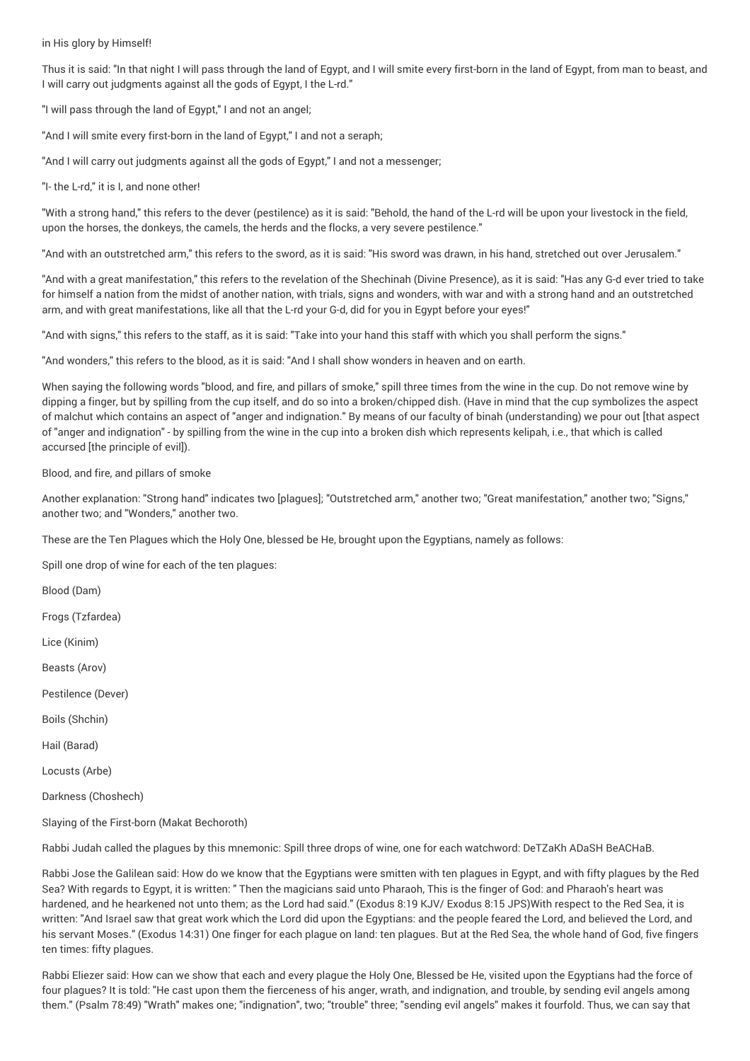## in His glory by Himself!

Thus it is said: "In that night I will pass through the land of Egypt, and I will smite every first-born in the land of Egypt, from man to beast, and I will carry out judgments against all the gods of Egypt, I the L-rd."

"I will pass through the land of Egypt," I and not an angel;

"And I will smite every first-born in the land of Egypt," I and not a seraph;

"And I will carry out judgments against all the gods of Egypt," I and not a messenger;

"I- the L-rd," it is I, and none other!

"With a strong hand," this refers to the dever (pestilence) as it is said: "Behold, the hand of the L-rd will be upon your livestock in the field, upon the horses, the donkeys, the camels, the herds and the flocks, a very severe pestilence."

"And with an outstretched arm," this refers to the sword, as it is said: "His sword was drawn, in his hand, stretched out over Jerusalem."

"And with a great manifestation," this refers to the revelation of the Shechinah (Divine Presence), as it is said: "Has any G-d ever tried to take for himself a nation from the midst of another nation, with trials, signs and wonders, with war and with a strong hand and an outstretched arm, and with great manifestations, like all that the L-rd your G-d, did for you in Egypt before your eyes!"

"And with signs," this refers to the staff, as it is said: "Take into your hand this staff with which you shall perform the signs."

"And wonders," this refers to the blood, as it is said: "And I shall show wonders in heaven and on earth.

When saying the following words "blood, and fire, and pillars of smoke," spill three times from the wine in the cup. Do not remove wine by dipping a finger, but by spilling from the cup itself, and do so into a broken/chipped dish. (Have in mind that the cup symbolizes the aspect of malchut which contains an aspect of "anger and indignation." By means of our faculty of binah (understanding) we pour out [that aspect of "anger and indignation" - by spilling from the wine in the cup into a broken dish which represents kelipah, i.e., that which is called accursed [the principle of evil]).

Blood, and fire, and pillars of smoke

Another explanation: "Strong hand" indicates two [plagues]; "Outstretched arm," another two; "Great manifestation," another two; "Signs," another two; and "Wonders," another two.

These are the Ten Plagues which the Holy One, blessed be He, brought upon the Egyptians, namely as follows:

Spill one drop of wine for each of the ten plagues:

Blood (Dam)

Frogs (Tzfardea)

Lice (Kinim)

Beasts (Arov)

Pestilence (Dever)

Boils (Shchin)

Hail (Barad)

Locusts (Arbe)

Darkness (Choshech)

Slaying of the First-born (Makat Bechoroth)

Rabbi Judah called the plagues by this mnemonic: Spill three drops of wine, one for each watchword: DeTZaKh ADaSH BeACHaB.

Rabbi Jose the Galilean said: How do we know that the Egyptians were smitten with ten plagues in Egypt, and with fifty plagues by the Red Sea? With regards to Egypt, it is written: " Then the magicians said unto Pharaoh, This is the finger of God: and Pharaoh's heart was hardened, and he hearkened not unto them; as the Lord had said." (Exodus 8:19 KJV/ Exodus 8:15 JPS)With respect to the Red Sea, it is written: "And Israel saw that great work which the Lord did upon the Egyptians: and the people feared the Lord, and believed the Lord, and his servant Moses." (Exodus 14:31) One finger for each plague on land: ten plagues. But at the Red Sea, the whole hand of God, five fingers ten times: fifty plagues.

Rabbi Eliezer said: How can we show that each and every plague the Holy One, Blessed be He, visited upon the Egyptians had the force of four plagues? It is told: "He cast upon them the fierceness of his anger, wrath, and indignation, and trouble, by sending evil angels among them." (Psalm 78:49) "Wrath" makes one; "indignation", two; "trouble" three; "sending evil angels" makes it fourfold. Thus, we can say that